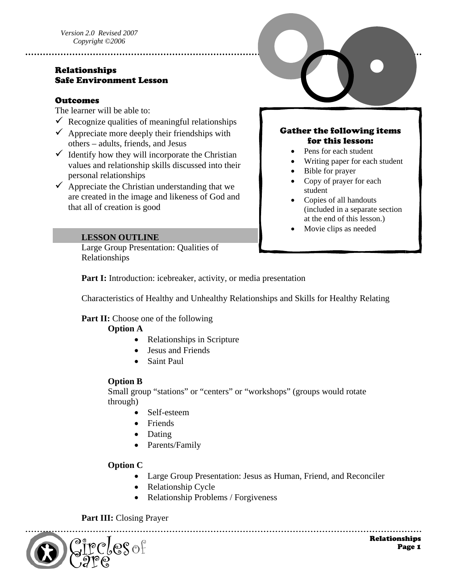## Relationships Safe Environment Lesson

#### **Outcomes**

The learner will be able to:

 $\checkmark$  Recognize qualities of meaningful relationships

- $\checkmark$  Appreciate more deeply their friendships with others – adults, friends, and Jesus
- $\checkmark$  Identify how they will incorporate the Christian values and relationship skills discussed into their personal relationships
- $\checkmark$  Appreciate the Christian understanding that we are created in the image and likeness of God and that all of creation is good

## Gather the following items for this lesson:

- Pens for each student
- Writing paper for each student
- Bible for prayer
- Copy of prayer for each student
- Copies of all handouts (included in a separate section at the end of this lesson.)
- Movie clips as needed

#### **LESSON OUTLINE**

Large Group Presentation: Qualities of Relationships

Part I: Introduction: icebreaker, activity, or media presentation

Characteristics of Healthy and Unhealthy Relationships and Skills for Healthy Relating

## **Part II:** Choose one of the following

## **Option A**

- Relationships in Scripture
- Jesus and Friends
- Saint Paul

## **Option B**

Small group "stations" or "centers" or "workshops" (groups would rotate through)

- Self-esteem
- Friends
- Dating
- Parents/Family

## **Option C**

• Large Group Presentation: Jesus as Human, Friend, and Reconciler

- Relationship Cycle
- Relationship Problems / Forgiveness

#### Part III: Closing Prayer

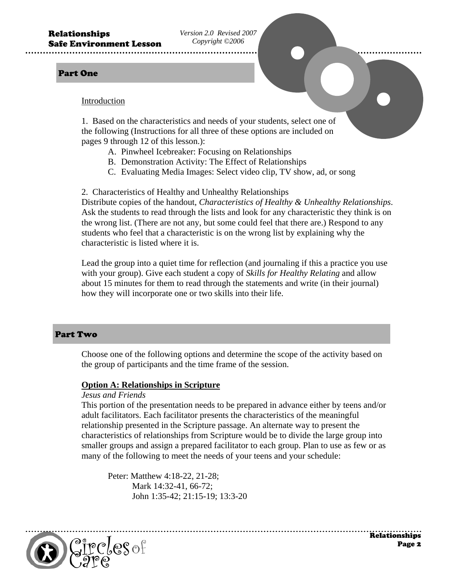*Version 2.0 Revised 2007 Copyright ©2006* 

#### Part One

#### Introduction

1. Based on the characteristics and needs of your students, select one of the following (Instructions for all three of these options are included on pages 9 through 12 of this lesson.):

- A. Pinwheel Icebreaker: Focusing on Relationships
- B. Demonstration Activity: The Effect of Relationships
- C. Evaluating Media Images: Select video clip, TV show, ad, or song

2. Characteristics of Healthy and Unhealthy Relationships

Distribute copies of the handout, *Characteristics of Healthy & Unhealthy Relationships*. Ask the students to read through the lists and look for any characteristic they think is on the wrong list. (There are not any, but some could feel that there are.) Respond to any students who feel that a characteristic is on the wrong list by explaining why the characteristic is listed where it is.

Lead the group into a quiet time for reflection (and journaling if this a practice you use with your group). Give each student a copy of *Skills for Healthy Relating* and allow about 15 minutes for them to read through the statements and write (in their journal) how they will incorporate one or two skills into their life.

#### Part Two

Choose one of the following options and determine the scope of the activity based on the group of participants and the time frame of the session.

#### **Option A: Relationships in Scripture**

#### *Jesus and Friends*

This portion of the presentation needs to be prepared in advance either by teens and/or adult facilitators. Each facilitator presents the characteristics of the meaningful relationship presented in the Scripture passage. An alternate way to present the characteristics of relationships from Scripture would be to divide the large group into smaller groups and assign a prepared facilitator to each group. Plan to use as few or as many of the following to meet the needs of your teens and your schedule:

 Peter: Matthew 4:18-22, 21-28; Mark 14:32-41, 66-72; John 1:35-42; 21:15-19; 13:3-20

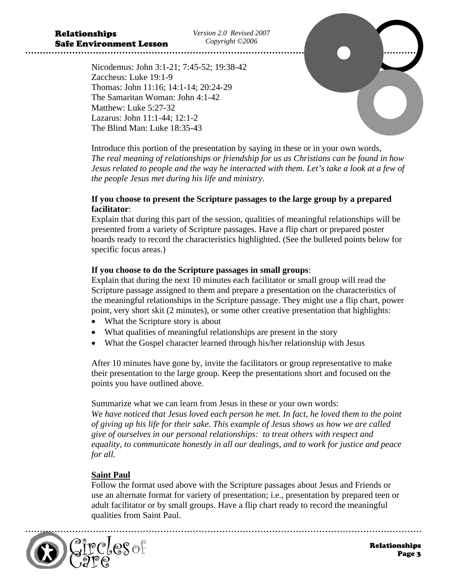*Version 2.0 Revised 2007 Copyright ©2006* 

Nicodemus: John 3:1-21; 7:45-52; 19:38-42 Zaccheus: Luke 19:1-9 Thomas: John 11:16; 14:1-14; 20:24-29 The Samaritan Woman: John 4:1-42 Matthew: Luke 5:27-32 Lazarus: John 11:1-44; 12:1-2 The Blind Man: Luke 18:35-43

Introduce this portion of the presentation by saying in these or in your own words, *The real meaning of relationships or friendship for us as Christians can be found in how Jesus related to people and the way he interacted with them. Let's take a look at a few of the people Jesus met during his life and ministry*.

## **If you choose to present the Scripture passages to the large group by a prepared facilitator**:

Explain that during this part of the session, qualities of meaningful relationships will be presented from a variety of Scripture passages. Have a flip chart or prepared poster boards ready to record the characteristics highlighted. (See the bulleted points below for specific focus areas.)

## **If you choose to do the Scripture passages in small groups**:

Explain that during the next 10 minutes each facilitator or small group will read the Scripture passage assigned to them and prepare a presentation on the characteristics of the meaningful relationships in the Scripture passage. They might use a flip chart, power point, very short skit (2 minutes), or some other creative presentation that highlights:

- What the Scripture story is about
- What qualities of meaningful relationships are present in the story
- What the Gospel character learned through his/her relationship with Jesus

After 10 minutes have gone by, invite the facilitators or group representative to make their presentation to the large group. Keep the presentations short and focused on the points you have outlined above.

Summarize what we can learn from Jesus in these or your own words: *We have noticed that Jesus loved each person he met. In fact, he loved them to the point of giving up his life for their sake. This example of Jesus shows us how we are called give of ourselves in our personal relationships: to treat others with respect and equality, to communicate honestly in all our dealings, and to work for justice and peace for all.* 

## **Saint Paul**

Follow the format used above with the Scripture passages about Jesus and Friends or use an alternate format for variety of presentation; i.e., presentation by prepared teen or adult facilitator or by small groups. Have a flip chart ready to record the meaningful qualities from Saint Paul.

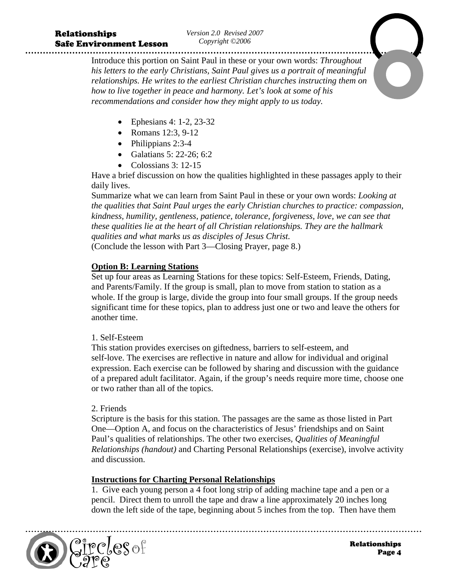*Version 2.0 Revised 2007 Copyright ©2006* 

Introduce this portion on Saint Paul in these or your own words: *Throughout his letters to the early Christians, Saint Paul gives us a portrait of meaningful relationships. He writes to the earliest Christian churches instructing them on how to live together in peace and harmony. Let's look at some of his recommendations and consider how they might apply to us today.* 

- Ephesians 4: 1-2, 23-32
- Romans 12:3, 9-12
- Philippians 2:3-4
- Galatians 5: 22-26; 6:2
- Colossians  $3: 12-15$

Have a brief discussion on how the qualities highlighted in these passages apply to their daily lives.

Summarize what we can learn from Saint Paul in these or your own words: *Looking at the qualities that Saint Paul urges the early Christian churches to practice: compassion, kindness, humility, gentleness, patience, tolerance, forgiveness, love, we can see that these qualities lie at the heart of all Christian relationships. They are the hallmark qualities and what marks us as disciples of Jesus Christ.*  (Conclude the lesson with Part 3—Closing Prayer, page 8.)

## **Option B: Learning Stations**

Set up four areas as Learning Stations for these topics: Self-Esteem, Friends, Dating, and Parents/Family. If the group is small, plan to move from station to station as a whole. If the group is large, divide the group into four small groups. If the group needs significant time for these topics, plan to address just one or two and leave the others for another time.

## 1. Self-Esteem

This station provides exercises on giftedness, barriers to self-esteem, and self-love. The exercises are reflective in nature and allow for individual and original expression. Each exercise can be followed by sharing and discussion with the guidance of a prepared adult facilitator. Again, if the group's needs require more time, choose one or two rather than all of the topics.

## 2. Friends

Scripture is the basis for this station. The passages are the same as those listed in Part One—Option A, and focus on the characteristics of Jesus' friendships and on Saint Paul's qualities of relationships. The other two exercises*, Qualities of Meaningful Relationships (handout)* and Charting Personal Relationships (exercise), involve activity and discussion.

## **Instructions for Charting Personal Relationships**

1. Give each young person a 4 foot long strip of adding machine tape and a pen or a pencil. Direct them to unroll the tape and draw a line approximately 20 inches long down the left side of the tape, beginning about 5 inches from the top. Then have them

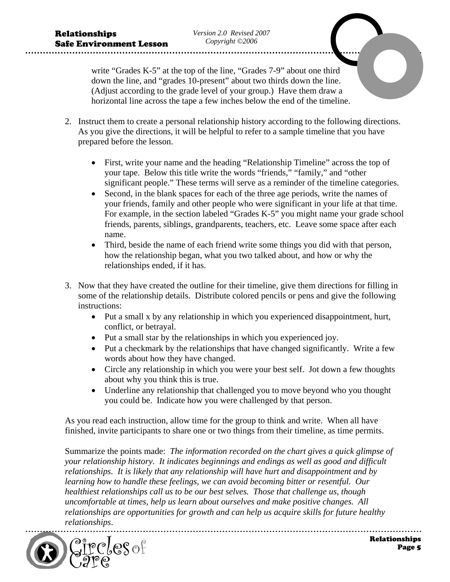write "Grades K-5" at the top of the line, "Grades 7-9" about one third down the line, and "grades 10-present" about two thirds down the line. (Adjust according to the grade level of your group.) Have them draw a horizontal line across the tape a few inches below the end of the timeline.

- 2. Instruct them to create a personal relationship history according to the following directions. As you give the directions, it will be helpful to refer to a sample timeline that you have prepared before the lesson.
	- First, write your name and the heading "Relationship Timeline" across the top of your tape. Below this title write the words "friends," "family," and "other significant people." These terms will serve as a reminder of the timeline categories.
	- Second, in the blank spaces for each of the three age periods, write the names of your friends, family and other people who were significant in your life at that time. For example, in the section labeled "Grades K-5" you might name your grade school friends, parents, siblings, grandparents, teachers, etc. Leave some space after each name.
	- Third, beside the name of each friend write some things you did with that person, how the relationship began, what you two talked about, and how or why the relationships ended, if it has.
- 3. Now that they have created the outline for their timeline, give them directions for filling in some of the relationship details. Distribute colored pencils or pens and give the following instructions:
	- Put a small x by any relationship in which you experienced disappointment, hurt, conflict, or betrayal.
	- Put a small star by the relationships in which you experienced joy.
	- Put a checkmark by the relationships that have changed significantly. Write a few words about how they have changed.
	- Circle any relationship in which you were your best self. Jot down a few thoughts about why you think this is true.
	- Underline any relationship that challenged you to move beyond who you thought you could be. Indicate how you were challenged by that person.

As you read each instruction, allow time for the group to think and write. When all have finished, invite participants to share one or two things from their timeline, as time permits.

Summarize the points made: *The information recorded on the chart gives a quick glimpse of your relationship history. It indicates beginnings and endings as well as good and difficult relationships. It is likely that any relationship will have hurt and disappointment and by learning how to handle these feelings, we can avoid becoming bitter or resentful. Our healthiest relationships call us to be our best selves. Those that challenge us, though uncomfortable at times, help us learn about ourselves and make positive changes. All relationships are opportunities for growth and can help us acquire skills for future healthy relationships*.

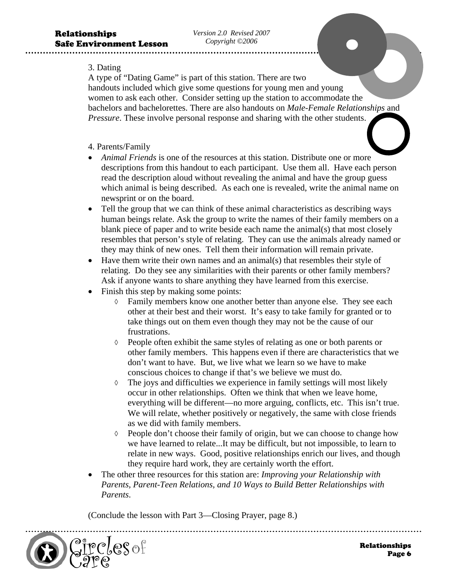#### 3. Dating

A type of "Dating Game" is part of this station. There are two handouts included which give some questions for young men and young women to ask each other. Consider setting up the station to accommodate the bachelors and bachelorettes. There are also handouts on *Male-Female Relationships* and *Pressure*. These involve personal response and sharing with the other students.

#### 4. Parents/Family

- *Animal Friends* is one of the resources at this station. Distribute one or more descriptions from this handout to each participant. Use them all. Have each person read the description aloud without revealing the animal and have the group guess which animal is being described. As each one is revealed, write the animal name on newsprint or on the board.
- Tell the group that we can think of these animal characteristics as describing ways human beings relate. Ask the group to write the names of their family members on a blank piece of paper and to write beside each name the animal(s) that most closely resembles that person's style of relating. They can use the animals already named or they may think of new ones. Tell them their information will remain private.
- Have them write their own names and an animal(s) that resembles their style of relating. Do they see any similarities with their parents or other family members? Ask if anyone wants to share anything they have learned from this exercise.
- Finish this step by making some points:
	- ◊ Family members know one another better than anyone else. They see each other at their best and their worst. It's easy to take family for granted or to take things out on them even though they may not be the cause of our frustrations.
	- ◊ People often exhibit the same styles of relating as one or both parents or other family members. This happens even if there are characteristics that we don't want to have. But, we live what we learn so we have to make conscious choices to change if that's we believe we must do.
	- ◊ The joys and difficulties we experience in family settings will most likely occur in other relationships. Often we think that when we leave home, everything will be different—no more arguing, conflicts, etc. This isn't true. We will relate, whether positively or negatively, the same with close friends as we did with family members.
	- ◊ People don't choose their family of origin, but we can choose to change how we have learned to relate...It may be difficult, but not impossible, to learn to relate in new ways. Good, positive relationships enrich our lives, and though they require hard work, they are certainly worth the effort.
- The other three resources for this station are: *Improving your Relationship with Parents, Parent-Teen Relations, and 10 Ways to Build Better Relationships with Parents*.

(Conclude the lesson with Part 3—Closing Prayer, page 8.)

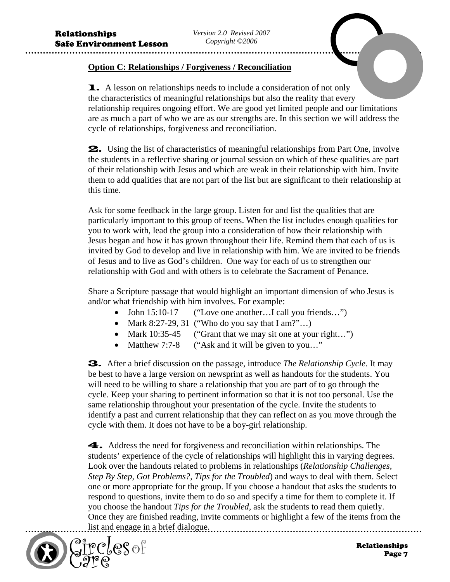## **Option C: Relationships / Forgiveness / Reconciliation**

**1.** A lesson on relationships needs to include a consideration of not only the characteristics of meaningful relationships but also the reality that every relationship requires ongoing effort. We are good yet limited people and our limitations are as much a part of who we are as our strengths are. In this section we will address the cycle of relationships, forgiveness and reconciliation.

2. Using the list of characteristics of meaningful relationships from Part One, involve the students in a reflective sharing or journal session on which of these qualities are part of their relationship with Jesus and which are weak in their relationship with him. Invite them to add qualities that are not part of the list but are significant to their relationship at this time.

Ask for some feedback in the large group. Listen for and list the qualities that are particularly important to this group of teens. When the list includes enough qualities for you to work with, lead the group into a consideration of how their relationship with Jesus began and how it has grown throughout their life. Remind them that each of us is invited by God to develop and live in relationship with him. We are invited to be friends of Jesus and to live as God's children. One way for each of us to strengthen our relationship with God and with others is to celebrate the Sacrament of Penance.

Share a Scripture passage that would highlight an important dimension of who Jesus is and/or what friendship with him involves. For example:

- John 15:10-17 ("Love one another...I call you friends...")
- Mark 8:27-29, 31 ("Who do you say that  $\text{I am?}$ "...)
- Mark 10:35-45 ("Grant that we may sit one at your right...")
- Matthew 7:7-8 ("Ask and it will be given to you..."

3. After a brief discussion on the passage, introduce *The Relationship Cycle*. It may be best to have a large version on newsprint as well as handouts for the students. You will need to be willing to share a relationship that you are part of to go through the cycle. Keep your sharing to pertinent information so that it is not too personal. Use the same relationship throughout your presentation of the cycle. Invite the students to identify a past and current relationship that they can reflect on as you move through the cycle with them. It does not have to be a boy-girl relationship.

4. Address the need for forgiveness and reconciliation within relationships. The students' experience of the cycle of relationships will highlight this in varying degrees. Look over the handouts related to problems in relationships (*Relationship Challenges, Step By Step, Got Problems?, Tips for the Troubled*) and ways to deal with them. Select one or more appropriate for the group. If you choose a handout that asks the students to respond to questions, invite them to do so and specify a time for them to complete it. If you choose the handout *Tips for the Troubled*, ask the students to read them quietly. Once they are finished reading, invite comments or highlight a few of the items from the list and engage in a brief dialogue.

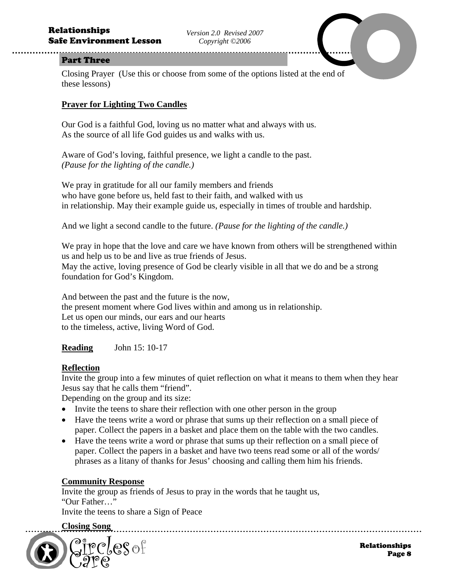#### Part Three

Closing Prayer (Use this or choose from some of the options listed at the end of these lessons)

#### **Prayer for Lighting Two Candles**

Our God is a faithful God, loving us no matter what and always with us. As the source of all life God guides us and walks with us.

Aware of God's loving, faithful presence, we light a candle to the past. *(Pause for the lighting of the candle.)* 

We pray in gratitude for all our family members and friends who have gone before us, held fast to their faith, and walked with us in relationship. May their example guide us, especially in times of trouble and hardship.

And we light a second candle to the future. *(Pause for the lighting of the candle.)* 

We pray in hope that the love and care we have known from others will be strengthened within us and help us to be and live as true friends of Jesus. May the active, loving presence of God be clearly visible in all that we do and be a strong foundation for God's Kingdom.

And between the past and the future is the now, the present moment where God lives within and among us in relationship. Let us open our minds, our ears and our hearts to the timeless, active, living Word of God.

**Reading** John 15: 10-17

#### **Reflection**

Invite the group into a few minutes of quiet reflection on what it means to them when they hear Jesus say that he calls them "friend".

Depending on the group and its size:

- Invite the teens to share their reflection with one other person in the group
- Have the teens write a word or phrase that sums up their reflection on a small piece of paper. Collect the papers in a basket and place them on the table with the two candles.
- Have the teens write a word or phrase that sums up their reflection on a small piece of paper. Collect the papers in a basket and have two teens read some or all of the words/ phrases as a litany of thanks for Jesus' choosing and calling them him his friends.

## **Community Response**

Invite the group as friends of Jesus to pray in the words that he taught us, "Our Father…"

Invite the teens to share a Sign of Peace

**Closing Song** 

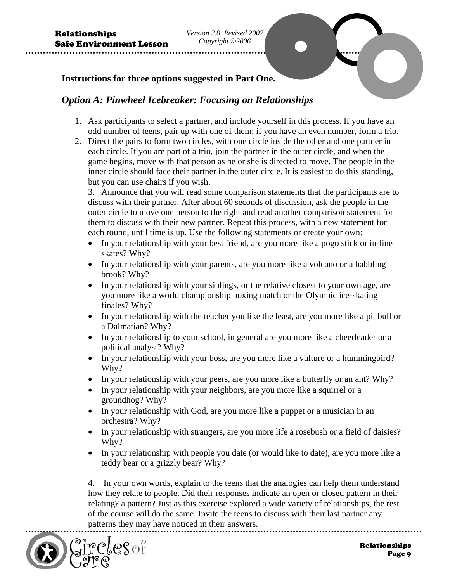## **Instructions for three options suggested in Part One.**

## *Option A: Pinwheel Icebreaker: Focusing on Relationships*

- 1. Ask participants to select a partner, and include yourself in this process. If you have an odd number of teens, pair up with one of them; if you have an even number, form a trio.
- 2. Direct the pairs to form two circles, with one circle inside the other and one partner in each circle. If you are part of a trio, join the partner in the outer circle, and when the game begins, move with that person as he or she is directed to move. The people in the inner circle should face their partner in the outer circle. It is easiest to do this standing, but you can use chairs if you wish.

3. Announce that you will read some comparison statements that the participants are to discuss with their partner. After about 60 seconds of discussion, ask the people in the outer circle to move one person to the right and read another comparison statement for them to discuss with their new partner. Repeat this process, with a new statement for each round, until time is up. Use the following statements or create your own:

- In your relationship with your best friend, are you more like a pogo stick or in-line skates? Why?
- In your relationship with your parents, are you more like a volcano or a babbling brook? Why?
- In your relationship with your siblings, or the relative closest to your own age, are you more like a world championship boxing match or the Olympic ice-skating finales? Why?
- In your relationship with the teacher you like the least, are you more like a pit bull or a Dalmatian? Why?
- In your relationship to your school, in general are you more like a cheerleader or a political analyst? Why?
- In your relationship with your boss, are you more like a vulture or a hummingbird? Why?
- In your relationship with your peers, are you more like a butterfly or an ant? Why?
- In your relationship with your neighbors, are you more like a squirrel or a groundhog? Why?
- In your relationship with God, are you more like a puppet or a musician in an orchestra? Why?
- In your relationship with strangers, are you more life a rosebush or a field of daisies? Why?
- In your relationship with people you date (or would like to date), are you more like a teddy bear or a grizzly bear? Why?

4. In your own words, explain to the teens that the analogies can help them understand how they relate to people. Did their responses indicate an open or closed pattern in their relating? a pattern? Just as this exercise explored a wide variety of relationships, the rest of the course will do the same. Invite the teens to discuss with their last partner any patterns they may have noticed in their answers.

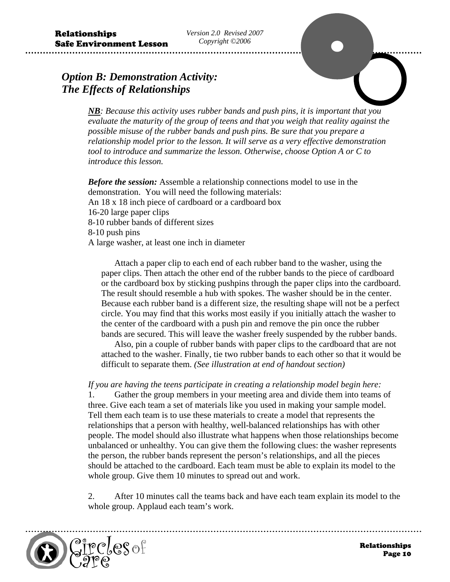## *Option B: Demonstration Activity: The Effects of Relationships*



*NB: Because this activity uses rubber bands and push pins, it is important that you evaluate the maturity of the group of teens and that you weigh that reality against the possible misuse of the rubber bands and push pins. Be sure that you prepare a relationship model prior to the lesson. It will serve as a very effective demonstration tool to introduce and summarize the lesson. Otherwise, choose Option A or C to introduce this lesson.* 

*Before the session:* Assemble a relationship connections model to use in the demonstration. You will need the following materials: An 18 x 18 inch piece of cardboard or a cardboard box 16-20 large paper clips 8-10 rubber bands of different sizes 8-10 push pins A large washer, at least one inch in diameter

Attach a paper clip to each end of each rubber band to the washer, using the paper clips. Then attach the other end of the rubber bands to the piece of cardboard or the cardboard box by sticking pushpins through the paper clips into the cardboard. The result should resemble a hub with spokes. The washer should be in the center. Because each rubber band is a different size, the resulting shape will not be a perfect circle. You may find that this works most easily if you initially attach the washer to the center of the cardboard with a push pin and remove the pin once the rubber bands are secured. This will leave the washer freely suspended by the rubber bands.

Also, pin a couple of rubber bands with paper clips to the cardboard that are not attached to the washer. Finally, tie two rubber bands to each other so that it would be difficult to separate them. *(See illustration at end of handout section)*

*If you are having the teens participate in creating a relationship model begin here:* 

1. Gather the group members in your meeting area and divide them into teams of three. Give each team a set of materials like you used in making your sample model. Tell them each team is to use these materials to create a model that represents the relationships that a person with healthy, well-balanced relationships has with other people. The model should also illustrate what happens when those relationships become unbalanced or unhealthy. You can give them the following clues: the washer represents the person, the rubber bands represent the person's relationships, and all the pieces should be attached to the cardboard. Each team must be able to explain its model to the whole group. Give them 10 minutes to spread out and work.

2. After 10 minutes call the teams back and have each team explain its model to the whole group. Applaud each team's work.

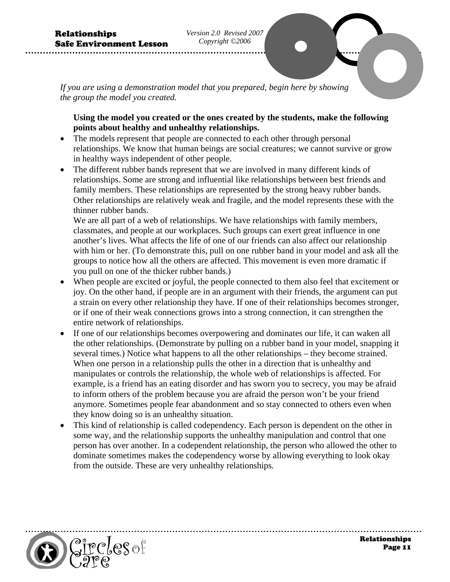*If you are using a demonstration model that you prepared, begin here by showing the group the model you created.* 

## **Using the model you created or the ones created by the students, make the following points about healthy and unhealthy relationships.**

- The models represent that people are connected to each other through personal relationships. We know that human beings are social creatures; we cannot survive or grow in healthy ways independent of other people.
- The different rubber bands represent that we are involved in many different kinds of relationships. Some are strong and influential like relationships between best friends and family members. These relationships are represented by the strong heavy rubber bands. Other relationships are relatively weak and fragile, and the model represents these with the thinner rubber bands.

We are all part of a web of relationships. We have relationships with family members, classmates, and people at our workplaces. Such groups can exert great influence in one another's lives. What affects the life of one of our friends can also affect our relationship with him or her. (To demonstrate this, pull on one rubber band in your model and ask all the groups to notice how all the others are affected. This movement is even more dramatic if you pull on one of the thicker rubber bands.)

- When people are excited or joyful, the people connected to them also feel that excitement or joy. On the other hand, if people are in an argument with their friends, the argument can put a strain on every other relationship they have. If one of their relationships becomes stronger, or if one of their weak connections grows into a strong connection, it can strengthen the entire network of relationships.
- If one of our relationships becomes overpowering and dominates our life, it can waken all the other relationships. (Demonstrate by pulling on a rubber band in your model, snapping it several times.) Notice what happens to all the other relationships – they become strained. When one person in a relationship pulls the other in a direction that is unhealthy and manipulates or controls the relationship, the whole web of relationships is affected. For example, is a friend has an eating disorder and has sworn you to secrecy, you may be afraid to inform others of the problem because you are afraid the person won't be your friend anymore. Sometimes people fear abandonment and so stay connected to others even when they know doing so is an unhealthy situation.
- This kind of relationship is called codependency. Each person is dependent on the other in some way, and the relationship supports the unhealthy manipulation and control that one person has over another. In a codependent relationship, the person who allowed the other to dominate sometimes makes the codependency worse by allowing everything to look okay from the outside. These are very unhealthy relationships.

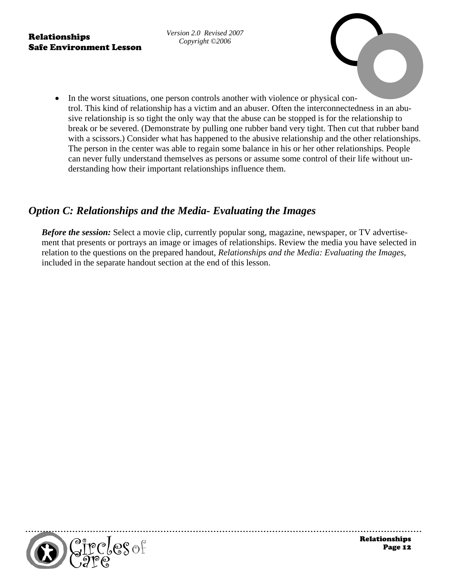*Version 2.0 Revised 2007 Copyright ©2006* 

• In the worst situations, one person controls another with violence or physical control. This kind of relationship has a victim and an abuser. Often the interconnectedness in an abusive relationship is so tight the only way that the abuse can be stopped is for the relationship to break or be severed. (Demonstrate by pulling one rubber band very tight. Then cut that rubber band with a scissors.) Consider what has happened to the abusive relationship and the other relationships. The person in the center was able to regain some balance in his or her other relationships. People can never fully understand themselves as persons or assume some control of their life without understanding how their important relationships influence them.

# *Option C: Relationships and the Media- Evaluating the Images*

*Before the session:* Select a movie clip, currently popular song, magazine, newspaper, or TV advertisement that presents or portrays an image or images of relationships. Review the media you have selected in relation to the questions on the prepared handout, *Relationships and the Media: Evaluating the Images*, included in the separate handout section at the end of this lesson.